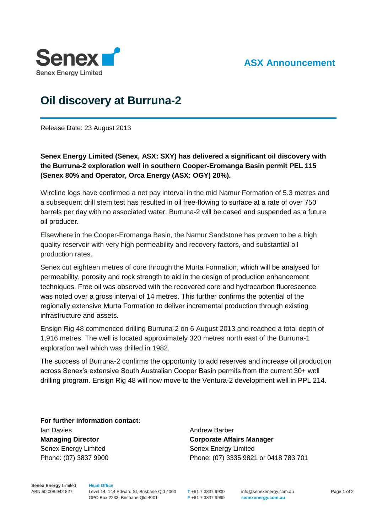

## **ASX Announcement**

## **Oil discovery at Burruna-2**

Release Date: 23 August 2013

**Senex Energy Limited (Senex, ASX: SXY) has delivered a significant oil discovery with the Burruna-2 exploration well in southern Cooper-Eromanga Basin permit PEL 115 (Senex 80% and Operator, Orca Energy (ASX: OGY) 20%).** 

Wireline logs have confirmed a net pay interval in the mid Namur Formation of 5.3 metres and a subsequent drill stem test has resulted in oil free-flowing to surface at a rate of over 750 barrels per day with no associated water. Burruna-2 will be cased and suspended as a future oil producer.

Elsewhere in the Cooper-Eromanga Basin, the Namur Sandstone has proven to be a high quality reservoir with very high permeability and recovery factors, and substantial oil production rates.

Senex cut eighteen metres of core through the Murta Formation, which will be analysed for permeability, porosity and rock strength to aid in the design of production enhancement techniques. Free oil was observed with the recovered core and hydrocarbon fluorescence was noted over a gross interval of 14 metres. This further confirms the potential of the regionally extensive Murta Formation to deliver incremental production through existing infrastructure and assets.

Ensign Rig 48 commenced drilling Burruna-2 on 6 August 2013 and reached a total depth of 1,916 metres. The well is located approximately 320 metres north east of the Burruna-1 exploration well which was drilled in 1982.

The success of Burruna-2 confirms the opportunity to add reserves and increase oil production across Senex's extensive South Australian Cooper Basin permits from the current 30+ well drilling program. Ensign Rig 48 will now move to the Ventura-2 development well in PPL 214.

**For further information contact:** Ian Davies **Managing Director** Senex Energy Limited Phone: (07) 3837 9900

Andrew Barber **Corporate Affairs Manager** Senex Energy Limited Phone: (07) 3335 9821 or 0418 783 701

**Senex Energy** Limited ABN 50 008 942 827

**Head Office** Level 14, 144 Edward St, Brisbane Qld 4000 GPO Box 2233, Brisbane Qld 4001

**T** +61 7 3837 9900 **F** +61 7 3837 9999 info@senexenergy.com.au **senexenergy.com.au**